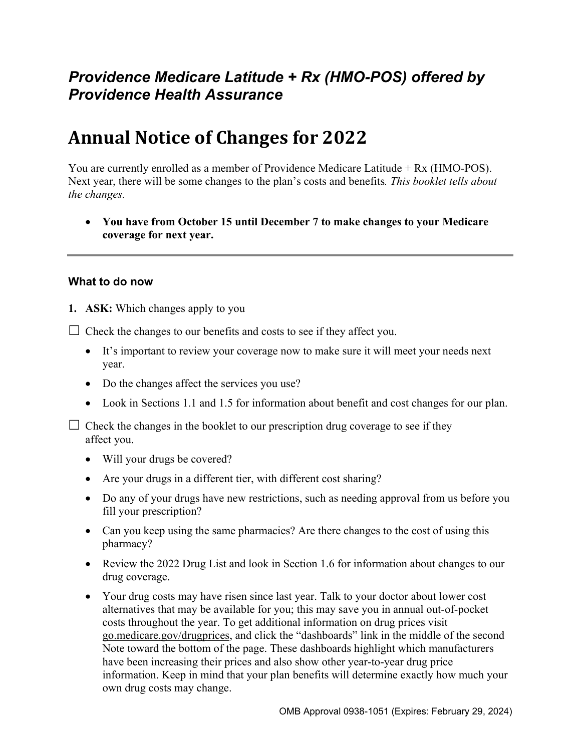# *Providence Medicare Latitude + Rx (HMO-POS) offered by Providence Health Assurance*

# **Annual Notice of Changes for 2022**

You are currently enrolled as a member of Providence Medicare Latitude + Rx (HMO-POS). Next year, there will be some changes to the plan's costs and benefits*. This booklet tells about the changes.* 

 **You have from October 15 until December 7 to make changes to your Medicare coverage for next year.** 

#### **What to do now**

**1. ASK:** Which changes apply to you

 $\Box$  Check the changes to our benefits and costs to see if they affect you.

- It's important to review your coverage now to make sure it will meet your needs next year.
- Do the changes affect the services you use?
- Look in Sections 1.1 and 1.5 for information about benefit and cost changes for our plan.

 $\Box$  Check the changes in the booklet to our prescription drug coverage to see if they affect you.

- Will your drugs be covered?
- Are your drugs in a different tier, with different cost sharing?
- Do any of your drugs have new restrictions, such as needing approval from us before you fill your prescription?
- Can you keep using the same pharmacies? Are there changes to the cost of using this pharmacy?
- Review the 2022 Drug List and look in Section 1.6 for information about changes to our drug coverage.
- Your drug costs may have risen since last year. Talk to your doctor about lower cost alternatives that may be available for you; this may save you in annual out-of-pocket costs throughout the year. To get additional information on drug prices visit [go.medicare.gov/drugprices,](https://go.medicare.gov/drugprices) and click the "dashboards" link in the middle of the second Note toward the bottom of the page. These dashboards highlight which manufacturers have been increasing their prices and also show other year-to-year drug price information. Keep in mind that your plan benefits will determine exactly how much your own drug costs may change.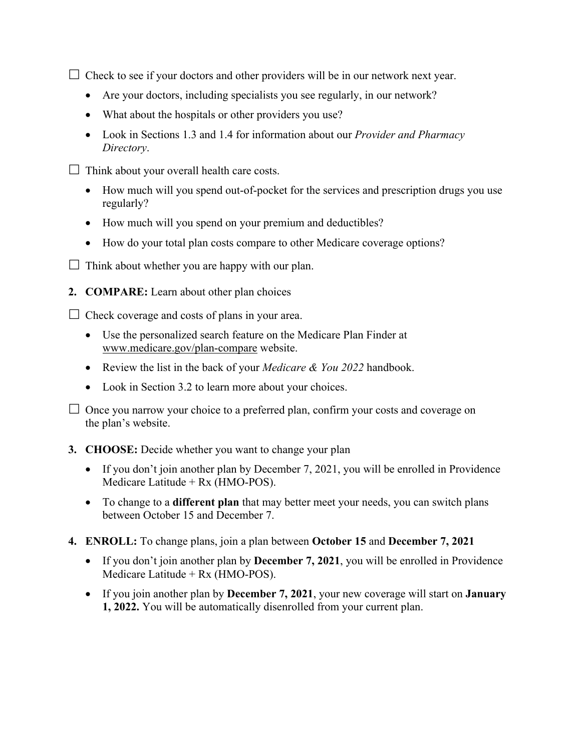$\Box$  Check to see if your doctors and other providers will be in our network next year.

- Are your doctors, including specialists you see regularly, in our network?
- What about the hospitals or other providers you use?
- Look in Sections 1.3 and 1.4 for information about our *Provider and Pharmacy Directory*.
- $\Box$  Think about your overall health care costs.
	- How much will you spend out-of-pocket for the services and prescription drugs you use regularly?
	- How much will you spend on your premium and deductibles?
	- How do your total plan costs compare to other Medicare coverage options?
- $\Box$  Think about whether you are happy with our plan.
- **2. COMPARE:** Learn about other plan choices

 $\Box$  Check coverage and costs of plans in your area.

- Use the personalized search feature on the Medicare Plan Finder at [www.medicare.gov/plan-compare](http://www.medicare.gov/plan-compare) website.
- Review the list in the back of your *Medicare & You 2022* handbook.
- Look in Section 3.2 to learn more about your choices.

 $\Box$  Once you narrow your choice to a preferred plan, confirm your costs and coverage on the plan's website.

#### **3. CHOOSE:** Decide whether you want to change your plan

- If you don't join another plan by December 7, 2021, you will be enrolled in Providence Medicare Latitude + Rx (HMO-POS).
- To change to a **different plan** that may better meet your needs, you can switch plans between October 15 and December 7.
- **4. ENROLL:** To change plans, join a plan between **October 15** and **December 7, 2021** 
	- If you don't join another plan by **December 7, 2021**, you will be enrolled in Providence Medicare Latitude + Rx (HMO-POS).
	- If you join another plan by **December 7, 2021**, your new coverage will start on **January 1, 2022.** You will be automatically disenrolled from your current plan.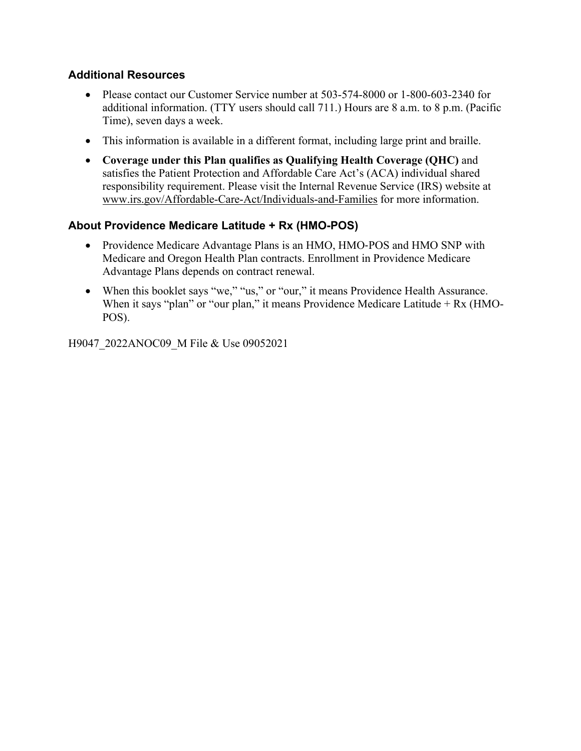### **Additional Resources**

- Please contact our Customer Service number at 503-574-8000 or 1-800-603-2340 for additional information. (TTY users should call 711.) Hours are 8 a.m. to 8 p.m. (Pacific Time), seven days a week.
- This information is available in a different format, including large print and braille.
- **Coverage under this Plan qualifies as Qualifying Health Coverage (QHC)** and satisfies the Patient Protection and Affordable Care Act's (ACA) individual shared responsibility requirement. Please visit the Internal Revenue Service (IRS) website at [www.irs.gov/Affordable-Care-Act/Individuals-and-Families](http://www.irs.gov/Affordable-Care-Act/Individuals-and-Families) for more information.

### **About Providence Medicare Latitude + Rx (HMO-POS)**

- Providence Medicare Advantage Plans is an HMO, HMO-POS and HMO SNP with Medicare and Oregon Health Plan contracts. Enrollment in Providence Medicare Advantage Plans depends on contract renewal.
- When this booklet says "we," "us," or "our," it means Providence Health Assurance. When it says "plan" or "our plan," it means Providence Medicare Latitude + Rx (HMO-POS).

H9047\_2022ANOC09\_M File & Use 09052021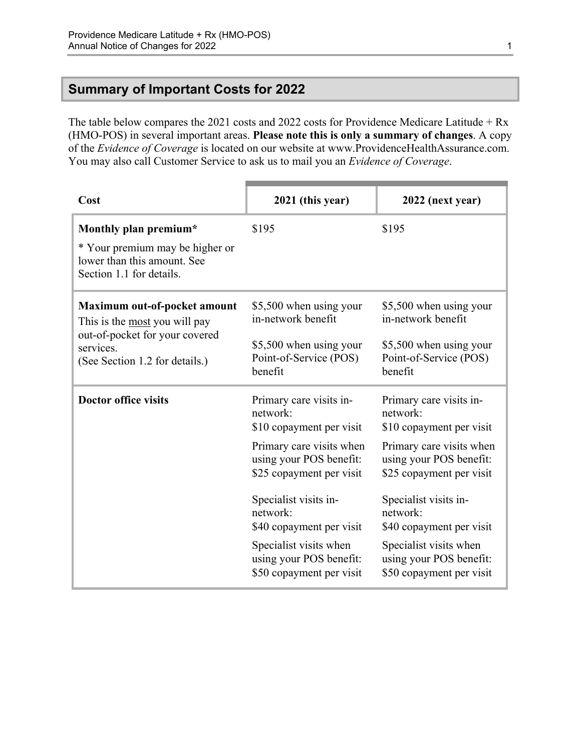### <span id="page-3-0"></span>**Summary of Important Costs for 2022**

The table below compares the 2021 costs and 2022 costs for Providence Medicare Latitude + Rx (HMO-POS) in several important areas. **Please note this is only a summary of changes**. A copy of the *Evidence of Coverage* is located on our website at [www.ProvidenceHealthAssurance.com](http://www.ProvidenceHealthAssurance.com). You may also call Customer Service to ask us to mail you an *Evidence of Coverage*.

| Cost                                                                                                                                           | 2021 (this year)                                                                                                                                                                                                                                                                                     | 2022 (next year)                                                                                                                                                                                                                                                                                     |
|------------------------------------------------------------------------------------------------------------------------------------------------|------------------------------------------------------------------------------------------------------------------------------------------------------------------------------------------------------------------------------------------------------------------------------------------------------|------------------------------------------------------------------------------------------------------------------------------------------------------------------------------------------------------------------------------------------------------------------------------------------------------|
| Monthly plan premium*<br>* Your premium may be higher or<br>lower than this amount. See<br>Section 1.1 for details.                            | \$195                                                                                                                                                                                                                                                                                                | \$195                                                                                                                                                                                                                                                                                                |
| Maximum out-of-pocket amount<br>This is the most you will pay<br>out-of-pocket for your covered<br>services.<br>(See Section 1.2 for details.) | \$5,500 when using your<br>in-network benefit<br>\$5,500 when using your<br>Point-of-Service (POS)<br>benefit                                                                                                                                                                                        | \$5,500 when using your<br>in-network benefit<br>\$5,500 when using your<br>Point-of-Service (POS)<br>benefit                                                                                                                                                                                        |
| <b>Doctor office visits</b>                                                                                                                    | Primary care visits in-<br>network:<br>\$10 copayment per visit<br>Primary care visits when<br>using your POS benefit:<br>\$25 copayment per visit<br>Specialist visits in-<br>network:<br>\$40 copayment per visit<br>Specialist visits when<br>using your POS benefit:<br>\$50 copayment per visit | Primary care visits in-<br>network:<br>\$10 copayment per visit<br>Primary care visits when<br>using your POS benefit:<br>\$25 copayment per visit<br>Specialist visits in-<br>network:<br>\$40 copayment per visit<br>Specialist visits when<br>using your POS benefit:<br>\$50 copayment per visit |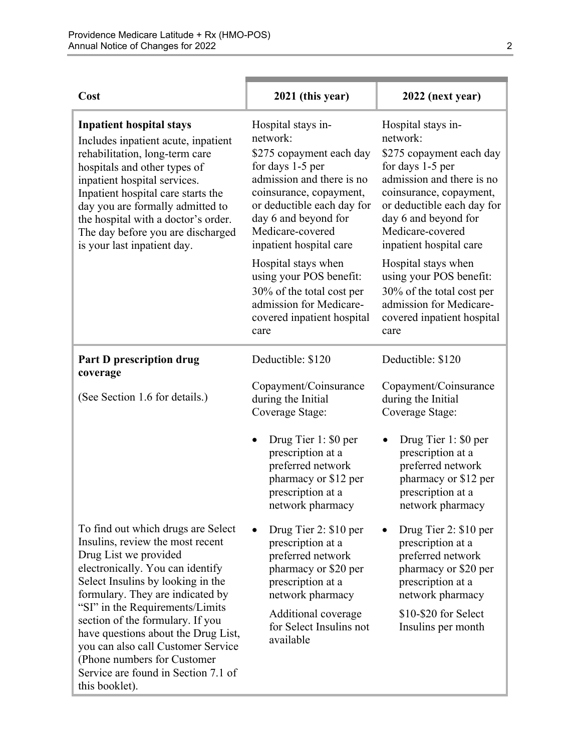| Cost                                                                                                                                                                                                                                                                                                                                                                                                                                                      | 2021 (this year)                                                                                                                                                                                                                            | 2022 (next year)                                                                                                                                                                                                                            |
|-----------------------------------------------------------------------------------------------------------------------------------------------------------------------------------------------------------------------------------------------------------------------------------------------------------------------------------------------------------------------------------------------------------------------------------------------------------|---------------------------------------------------------------------------------------------------------------------------------------------------------------------------------------------------------------------------------------------|---------------------------------------------------------------------------------------------------------------------------------------------------------------------------------------------------------------------------------------------|
| <b>Inpatient hospital stays</b><br>Includes inpatient acute, inpatient<br>rehabilitation, long-term care<br>hospitals and other types of<br>inpatient hospital services.<br>Inpatient hospital care starts the<br>day you are formally admitted to<br>the hospital with a doctor's order.<br>The day before you are discharged<br>is your last inpatient day.                                                                                             | Hospital stays in-<br>network:<br>\$275 copayment each day<br>for days 1-5 per<br>admission and there is no<br>coinsurance, copayment,<br>or deductible each day for<br>day 6 and beyond for<br>Medicare-covered<br>inpatient hospital care | Hospital stays in-<br>network:<br>\$275 copayment each day<br>for days 1-5 per<br>admission and there is no<br>coinsurance, copayment,<br>or deductible each day for<br>day 6 and beyond for<br>Medicare-covered<br>inpatient hospital care |
|                                                                                                                                                                                                                                                                                                                                                                                                                                                           | Hospital stays when<br>using your POS benefit:<br>30% of the total cost per<br>admission for Medicare-<br>covered inpatient hospital<br>care                                                                                                | Hospital stays when<br>using your POS benefit:<br>30% of the total cost per<br>admission for Medicare-<br>covered inpatient hospital<br>care                                                                                                |
| <b>Part D prescription drug</b><br>coverage                                                                                                                                                                                                                                                                                                                                                                                                               | Deductible: \$120                                                                                                                                                                                                                           | Deductible: \$120                                                                                                                                                                                                                           |
| (See Section 1.6 for details.)                                                                                                                                                                                                                                                                                                                                                                                                                            | Copayment/Coinsurance<br>during the Initial<br>Coverage Stage:                                                                                                                                                                              | Copayment/Coinsurance<br>during the Initial<br>Coverage Stage:                                                                                                                                                                              |
|                                                                                                                                                                                                                                                                                                                                                                                                                                                           | Drug Tier 1: \$0 per<br>$\bullet$<br>prescription at a<br>preferred network<br>pharmacy or \$12 per<br>prescription at a<br>network pharmacy                                                                                                | Drug Tier 1: \$0 per<br>prescription at a<br>preferred network<br>pharmacy or \$12 per<br>prescription at a<br>network pharmacy                                                                                                             |
| To find out which drugs are Select<br>Insulins, review the most recent<br>Drug List we provided<br>electronically. You can identify<br>Select Insulins by looking in the<br>formulary. They are indicated by<br>"SI" in the Requirements/Limits<br>section of the formulary. If you<br>have questions about the Drug List,<br>you can also call Customer Service<br>(Phone numbers for Customer)<br>Service are found in Section 7.1 of<br>this booklet). | Drug Tier 2: \$10 per<br>$\bullet$<br>prescription at a<br>preferred network<br>pharmacy or \$20 per<br>prescription at a<br>network pharmacy<br>Additional coverage<br>for Select Insulins not<br>available                                | Drug Tier 2: \$10 per<br>prescription at a<br>preferred network<br>pharmacy or \$20 per<br>prescription at a<br>network pharmacy<br>\$10-\$20 for Select<br>Insulins per month                                                              |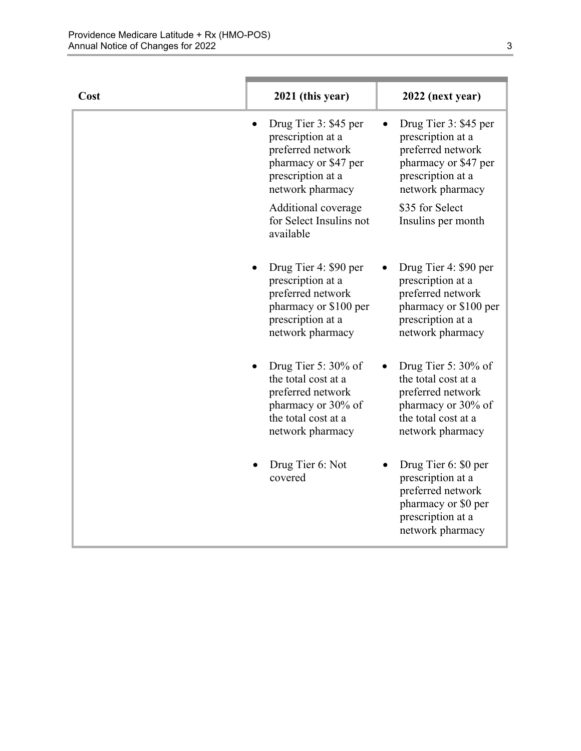| Cost | 2021 (this year)                                                                                                                    | 2022 (next year)                                                                                                                    |
|------|-------------------------------------------------------------------------------------------------------------------------------------|-------------------------------------------------------------------------------------------------------------------------------------|
|      | Drug Tier 3: \$45 per<br>prescription at a<br>preferred network<br>pharmacy or \$47 per<br>prescription at a<br>network pharmacy    | Drug Tier 3: \$45 per<br>prescription at a<br>preferred network<br>pharmacy or \$47 per<br>prescription at a<br>network pharmacy    |
|      | Additional coverage<br>for Select Insulins not<br>available                                                                         | \$35 for Select<br>Insulins per month                                                                                               |
|      | Drug Tier 4: \$90 per<br>prescription at a<br>preferred network<br>pharmacy or \$100 per<br>prescription at a<br>network pharmacy   | Drug Tier 4: \$90 per<br>prescription at a<br>preferred network<br>pharmacy or \$100 per<br>prescription at a<br>network pharmacy   |
|      | Drug Tier 5: $30\%$ of<br>the total cost at a<br>preferred network<br>pharmacy or 30% of<br>the total cost at a<br>network pharmacy | Drug Tier 5: $30\%$ of<br>the total cost at a<br>preferred network<br>pharmacy or 30% of<br>the total cost at a<br>network pharmacy |
|      | Drug Tier 6: Not<br>covered                                                                                                         | Drug Tier 6: \$0 per<br>prescription at a<br>preferred network<br>pharmacy or \$0 per<br>prescription at a<br>network pharmacy      |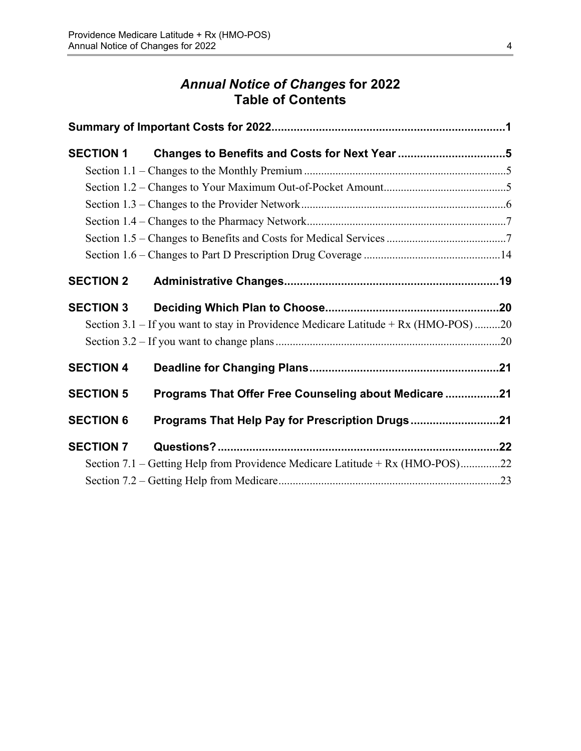# *Annual Notice of Changes* **for 2022 Table of Contents**

| <b>SECTION 1</b> |                                                                                     |  |
|------------------|-------------------------------------------------------------------------------------|--|
|                  |                                                                                     |  |
|                  |                                                                                     |  |
|                  |                                                                                     |  |
|                  |                                                                                     |  |
|                  |                                                                                     |  |
|                  |                                                                                     |  |
| <b>SECTION 2</b> |                                                                                     |  |
| <b>SECTION 3</b> |                                                                                     |  |
|                  | Section 3.1 – If you want to stay in Providence Medicare Latitude + Rx (HMO-POS) 20 |  |
|                  |                                                                                     |  |
| <b>SECTION 4</b> |                                                                                     |  |
| <b>SECTION 5</b> | Programs That Offer Free Counseling about Medicare 21                               |  |
| <b>SECTION 6</b> | Programs That Help Pay for Prescription Drugs21                                     |  |
| <b>SECTION 7</b> |                                                                                     |  |
|                  | Section 7.1 – Getting Help from Providence Medicare Latitude + Rx (HMO-POS)22       |  |
|                  |                                                                                     |  |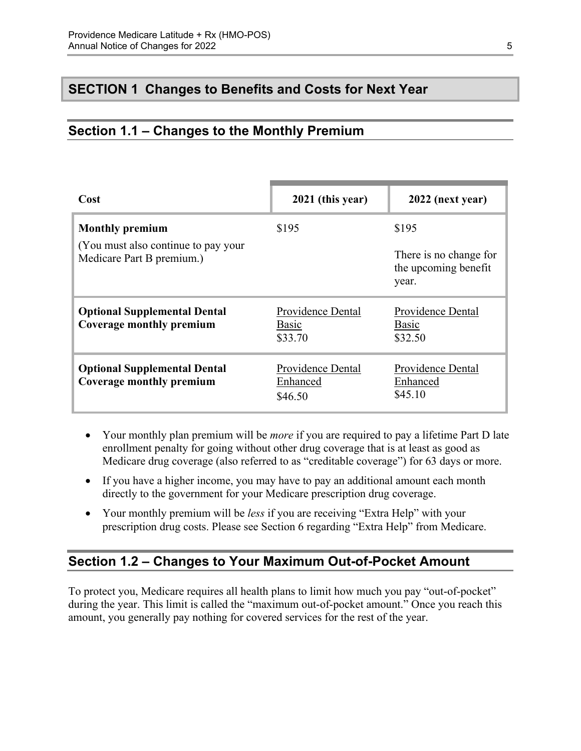### <span id="page-7-0"></span>**SECTION 1 Changes to Benefits and Costs for Next Year**

### <span id="page-7-1"></span>**Section 1.1 – Changes to the Monthly Premium**

| Cost                                                              | 2021 (this year)                         | 2022 (next year)                                        |
|-------------------------------------------------------------------|------------------------------------------|---------------------------------------------------------|
| <b>Monthly premium</b>                                            | \$195                                    | \$195                                                   |
| (You must also continue to pay your)<br>Medicare Part B premium.) |                                          | There is no change for<br>the upcoming benefit<br>year. |
| <b>Optional Supplemental Dental</b><br>Coverage monthly premium   | Providence Dental<br>Basic<br>\$33.70    | Providence Dental<br>Basic<br>\$32.50                   |
| <b>Optional Supplemental Dental</b><br>Coverage monthly premium   | Providence Dental<br>Enhanced<br>\$46.50 | Providence Dental<br>Enhanced<br>\$45.10                |

- Your monthly plan premium will be *more* if you are required to pay a lifetime Part D late enrollment penalty for going without other drug coverage that is at least as good as Medicare drug coverage (also referred to as "creditable coverage") for 63 days or more.
- If you have a higher income, you may have to pay an additional amount each month directly to the government for your Medicare prescription drug coverage.
- Your monthly premium will be *less* if you are receiving "Extra Help" with your prescription drug costs. Please see Section 6 regarding "Extra Help" from Medicare.

### <span id="page-7-2"></span>**Section 1.2 – Changes to Your Maximum Out-of-Pocket Amount**

 amount, you generally pay nothing for covered services for the rest of the year. To protect you, Medicare requires all health plans to limit how much you pay "out-of-pocket" during the year. This limit is called the "maximum out-of-pocket amount." Once you reach this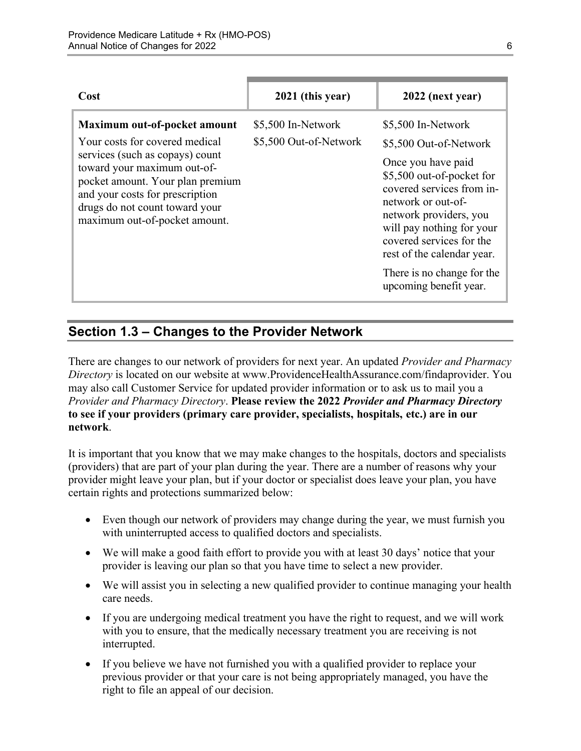| Cost                                                                                                                                                                                                                                                                       | 2021 (this year)                             | 2022 (next year)                                                                                                                                                                                                                                                                                                            |
|----------------------------------------------------------------------------------------------------------------------------------------------------------------------------------------------------------------------------------------------------------------------------|----------------------------------------------|-----------------------------------------------------------------------------------------------------------------------------------------------------------------------------------------------------------------------------------------------------------------------------------------------------------------------------|
| Maximum out-of-pocket amount<br>Your costs for covered medical<br>services (such as copays) count<br>toward your maximum out-of-<br>pocket amount. Your plan premium<br>and your costs for prescription<br>drugs do not count toward your<br>maximum out-of-pocket amount. | \$5,500 In-Network<br>\$5,500 Out-of-Network | \$5,500 In-Network<br>\$5,500 Out-of-Network<br>Once you have paid<br>\$5,500 out-of-pocket for<br>covered services from in-<br>network or out-of-<br>network providers, you<br>will pay nothing for your<br>covered services for the<br>rest of the calendar year.<br>There is no change for the<br>upcoming benefit year. |

# <span id="page-8-0"></span>**Section 1.3 – Changes to the Provider Network**

 **to see if your providers (primary care provider, specialists, hospitals, etc.) are in our**  There are changes to our network of providers for next year. An updated *Provider and Pharmacy Directory* is located on our website at [www.ProvidenceHealthAssurance.com/findaprovider.](http://www.ProvidenceHealthAssurance.com/findaprovider) You may also call Customer Service for updated provider information or to ask us to mail you a *Provider and Pharmacy Directory*. **Please review the 2022** *Provider and Pharmacy Directory*  **network**.

It is important that you know that we may make changes to the hospitals, doctors and specialists (providers) that are part of your plan during the year. There are a number of reasons why your provider might leave your plan, but if your doctor or specialist does leave your plan, you have certain rights and protections summarized below:

- Even though our network of providers may change during the year, we must furnish you with uninterrupted access to qualified doctors and specialists.
- We will make a good faith effort to provide you with at least 30 days' notice that your provider is leaving our plan so that you have time to select a new provider.
- We will assist you in selecting a new qualified provider to continue managing your health care needs.
- If you are undergoing medical treatment you have the right to request, and we will work with you to ensure, that the medically necessary treatment you are receiving is not interrupted.
- If you believe we have not furnished you with a qualified provider to replace your previous provider or that your care is not being appropriately managed, you have the right to file an appeal of our decision.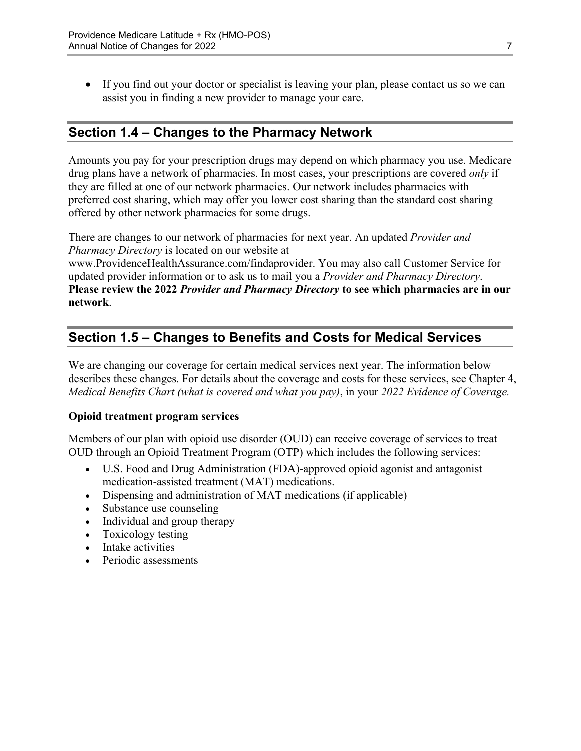If you find out your doctor or specialist is leaving your plan, please contact us so we can assist you in finding a new provider to manage your care.

### <span id="page-9-0"></span>**Section 1.4 – Changes to the Pharmacy Network**

Amounts you pay for your prescription drugs may depend on which pharmacy you use. Medicare drug plans have a network of pharmacies. In most cases, your prescriptions are covered *only* if they are filled at one of our network pharmacies. Our network includes pharmacies with preferred cost sharing, which may offer you lower cost sharing than the standard cost sharing offered by other network pharmacies for some drugs.

There are changes to our network of pharmacies for next year. An updated *Provider and Pharmacy Directory* is located on our website at

[www.ProvidenceHealthAssurance.com/findaprovider](http://www.ProvidenceHealthAssurance.com/findaprovider). You may also call Customer Service for updated provider information or to ask us to mail you a *Provider and Pharmacy Directory*. **Please review the 2022** *Provider and Pharmacy Directory* **to see which pharmacies are in our network**.

### <span id="page-9-1"></span>**Section 1.5 – Changes to Benefits and Costs for Medical Services**

We are changing our coverage for certain medical services next year. The information below describes these changes. For details about the coverage and costs for these services, see Chapter 4, *Medical Benefits Chart (what is covered and what you pay)*, in your *2022 Evidence of Coverage.* 

#### **Opioid treatment program services**

Members of our plan with opioid use disorder (OUD) can receive coverage of services to treat OUD through an Opioid Treatment Program (OTP) which includes the following services:

- U.S. Food and Drug Administration (FDA)-approved opioid agonist and antagonist medication-assisted treatment (MAT) medications.
- Dispensing and administration of MAT medications (if applicable)
- Substance use counseling
- Individual and group therapy
- Toxicology testing
- Intake activities
- Periodic assessments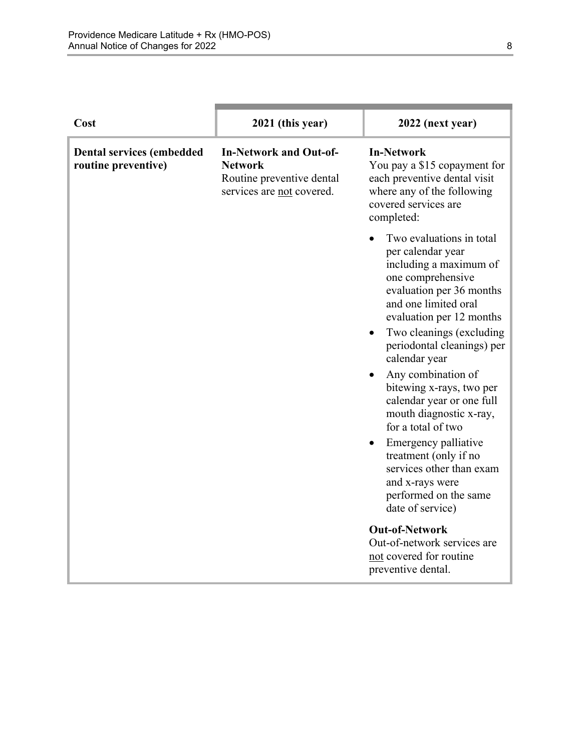| Cost                                                    | 2021 (this year)                                                                                          | 2022 (next year)                                                                                                                                                                                         |
|---------------------------------------------------------|-----------------------------------------------------------------------------------------------------------|----------------------------------------------------------------------------------------------------------------------------------------------------------------------------------------------------------|
| <b>Dental services (embedded</b><br>routine preventive) | <b>In-Network and Out-of-</b><br><b>Network</b><br>Routine preventive dental<br>services are not covered. | <b>In-Network</b><br>You pay a \$15 copayment for<br>each preventive dental visit<br>where any of the following<br>covered services are<br>completed:                                                    |
|                                                         |                                                                                                           | Two evaluations in total<br>per calendar year<br>including a maximum of<br>one comprehensive<br>evaluation per 36 months<br>and one limited oral<br>evaluation per 12 months<br>Two cleanings (excluding |
|                                                         |                                                                                                           | periodontal cleanings) per<br>calendar year<br>Any combination of<br>bitewing x-rays, two per<br>calendar year or one full<br>mouth diagnostic x-ray,<br>for a total of two                              |
|                                                         |                                                                                                           | Emergency palliative<br>treatment (only if no<br>services other than exam<br>and x-rays were<br>performed on the same<br>date of service)                                                                |
|                                                         |                                                                                                           | <b>Out-of-Network</b><br>Out-of-network services are<br>not covered for routine<br>preventive dental.                                                                                                    |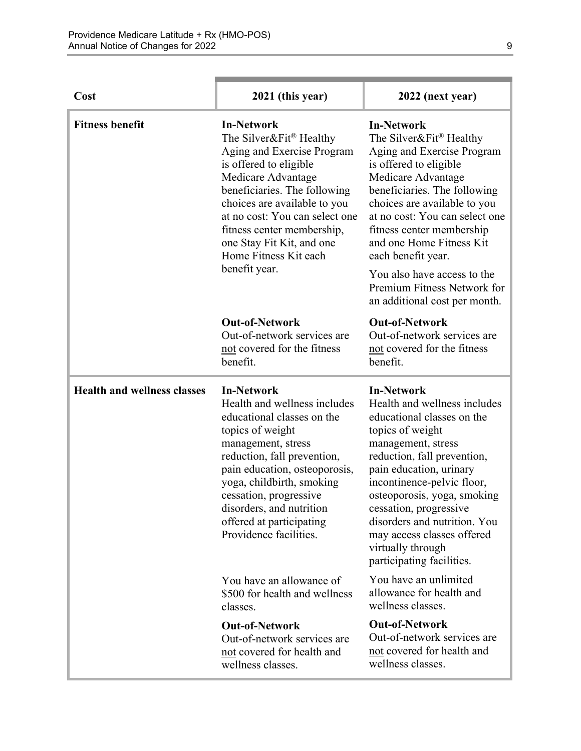| Cost                               | 2021 (this year)                                                                                                                                                                                                                                                                                                                   | 2022 (next year)                                                                                                                                                                                                                                                                                                                                                                                           |
|------------------------------------|------------------------------------------------------------------------------------------------------------------------------------------------------------------------------------------------------------------------------------------------------------------------------------------------------------------------------------|------------------------------------------------------------------------------------------------------------------------------------------------------------------------------------------------------------------------------------------------------------------------------------------------------------------------------------------------------------------------------------------------------------|
| <b>Fitness benefit</b>             | <b>In-Network</b><br>The Silver&Fit® Healthy<br>Aging and Exercise Program<br>is offered to eligible<br>Medicare Advantage<br>beneficiaries. The following<br>choices are available to you<br>at no cost: You can select one<br>fitness center membership,<br>one Stay Fit Kit, and one<br>Home Fitness Kit each<br>benefit year.  | <b>In-Network</b><br>The Silver&Fit® Healthy<br>Aging and Exercise Program<br>is offered to eligible<br>Medicare Advantage<br>beneficiaries. The following<br>choices are available to you<br>at no cost: You can select one<br>fitness center membership<br>and one Home Fitness Kit<br>each benefit year.<br>You also have access to the<br>Premium Fitness Network for<br>an additional cost per month. |
|                                    | <b>Out-of-Network</b><br>Out-of-network services are<br>not covered for the fitness<br>benefit.                                                                                                                                                                                                                                    | <b>Out-of-Network</b><br>Out-of-network services are<br>not covered for the fitness<br>benefit.                                                                                                                                                                                                                                                                                                            |
| <b>Health and wellness classes</b> | <b>In-Network</b><br>Health and wellness includes<br>educational classes on the<br>topics of weight<br>management, stress<br>reduction, fall prevention,<br>pain education, osteoporosis,<br>yoga, childbirth, smoking<br>cessation, progressive<br>disorders, and nutrition<br>offered at participating<br>Providence facilities. | <b>In-Network</b><br>Health and wellness includes<br>educational classes on the<br>topics of weight<br>management, stress<br>reduction, fall prevention,<br>pain education, urinary<br>incontinence-pelvic floor,<br>osteoporosis, yoga, smoking<br>cessation, progressive<br>disorders and nutrition. You<br>may access classes offered<br>virtually through<br>participating facilities.                 |
|                                    | You have an allowance of<br>\$500 for health and wellness<br>classes.                                                                                                                                                                                                                                                              | You have an unlimited<br>allowance for health and<br>wellness classes.                                                                                                                                                                                                                                                                                                                                     |
|                                    | <b>Out-of-Network</b><br>Out-of-network services are<br>not covered for health and<br>wellness classes.                                                                                                                                                                                                                            | <b>Out-of-Network</b><br>Out-of-network services are<br>not covered for health and<br>wellness classes.                                                                                                                                                                                                                                                                                                    |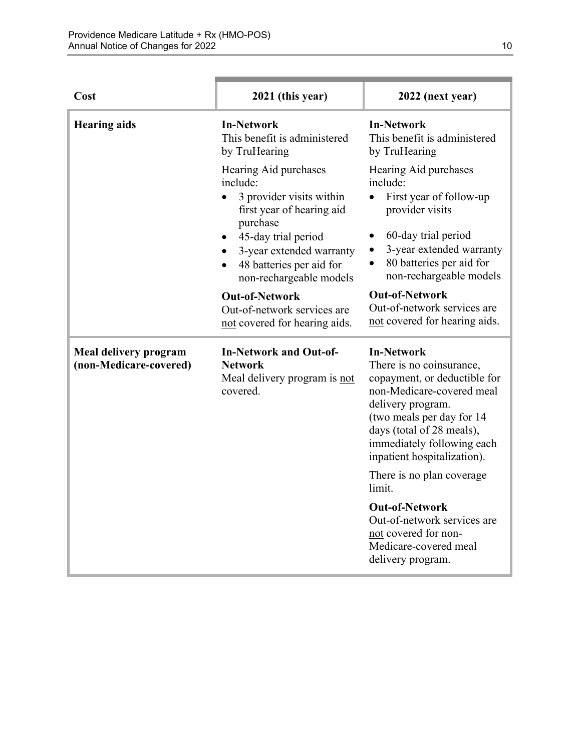| Cost                                            | 2021 (this year)                                                                                                                                                                                                                   | 2022 (next year)                                                                                                                                                                                                                                       |
|-------------------------------------------------|------------------------------------------------------------------------------------------------------------------------------------------------------------------------------------------------------------------------------------|--------------------------------------------------------------------------------------------------------------------------------------------------------------------------------------------------------------------------------------------------------|
| <b>Hearing aids</b>                             | <b>In-Network</b><br>This benefit is administered<br>by TruHearing                                                                                                                                                                 | <b>In-Network</b><br>This benefit is administered<br>by TruHearing                                                                                                                                                                                     |
|                                                 | Hearing Aid purchases<br>include:<br>3 provider visits within<br>first year of hearing aid<br>purchase<br>45-day trial period<br>٠<br>3-year extended warranty<br>48 batteries per aid for<br>$\bullet$<br>non-rechargeable models | Hearing Aid purchases<br>include:<br>First year of follow-up<br>provider visits<br>60-day trial period<br>3-year extended warranty<br>80 batteries per aid for<br>$\bullet$<br>non-rechargeable models                                                 |
|                                                 | <b>Out-of-Network</b><br>Out-of-network services are<br>not covered for hearing aids.                                                                                                                                              | <b>Out-of-Network</b><br>Out-of-network services are<br>not covered for hearing aids.                                                                                                                                                                  |
| Meal delivery program<br>(non-Medicare-covered) | <b>In-Network and Out-of-</b><br><b>Network</b><br>Meal delivery program is not<br>covered.                                                                                                                                        | <b>In-Network</b><br>There is no coinsurance,<br>copayment, or deductible for<br>non-Medicare-covered meal<br>delivery program.<br>(two meals per day for 14<br>days (total of 28 meals),<br>immediately following each<br>inpatient hospitalization). |
|                                                 |                                                                                                                                                                                                                                    | There is no plan coverage<br>limit.                                                                                                                                                                                                                    |
|                                                 |                                                                                                                                                                                                                                    | <b>Out-of-Network</b><br>Out-of-network services are<br>not covered for non-<br>Medicare-covered meal<br>delivery program.                                                                                                                             |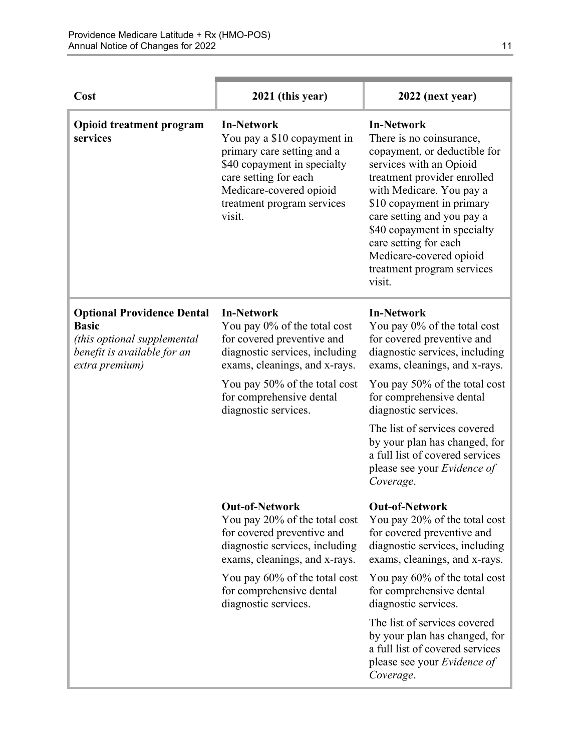| Cost                                                                                                                              | 2021 (this year)                                                                                                                                                                                                                        | 2022 (next year)                                                                                                                                                                                                                                                                                                                                                                               |
|-----------------------------------------------------------------------------------------------------------------------------------|-----------------------------------------------------------------------------------------------------------------------------------------------------------------------------------------------------------------------------------------|------------------------------------------------------------------------------------------------------------------------------------------------------------------------------------------------------------------------------------------------------------------------------------------------------------------------------------------------------------------------------------------------|
| <b>Opioid treatment program</b><br>services                                                                                       | <b>In-Network</b><br>You pay a \$10 copayment in<br>primary care setting and a<br>\$40 copayment in specialty<br>care setting for each<br>Medicare-covered opioid<br>treatment program services<br>visit.                               | <b>In-Network</b><br>There is no coinsurance,<br>copayment, or deductible for<br>services with an Opioid<br>treatment provider enrolled<br>with Medicare. You pay a<br>\$10 copayment in primary<br>care setting and you pay a<br>\$40 copayment in specialty<br>care setting for each<br>Medicare-covered opioid<br>treatment program services<br>visit.                                      |
| <b>Optional Providence Dental</b><br><b>Basic</b><br>(this optional supplemental<br>benefit is available for an<br>extra premium) | <b>In-Network</b><br>You pay 0% of the total cost<br>for covered preventive and<br>diagnostic services, including<br>exams, cleanings, and x-rays.<br>You pay 50% of the total cost<br>for comprehensive dental<br>diagnostic services. | <b>In-Network</b><br>You pay 0% of the total cost<br>for covered preventive and<br>diagnostic services, including<br>exams, cleanings, and x-rays.<br>You pay 50% of the total cost<br>for comprehensive dental<br>diagnostic services.<br>The list of services covered<br>by your plan has changed, for<br>a full list of covered services<br>please see your <i>Evidence of</i><br>Coverage. |
|                                                                                                                                   | <b>Out-of-Network</b><br>You pay 20% of the total cost<br>for covered preventive and<br>diagnostic services, including<br>exams, cleanings, and x-rays.                                                                                 | <b>Out-of-Network</b><br>You pay 20% of the total cost<br>for covered preventive and<br>diagnostic services, including<br>exams, cleanings, and x-rays.                                                                                                                                                                                                                                        |
|                                                                                                                                   | You pay 60% of the total cost<br>for comprehensive dental<br>diagnostic services.                                                                                                                                                       | You pay 60% of the total cost<br>for comprehensive dental<br>diagnostic services.                                                                                                                                                                                                                                                                                                              |
|                                                                                                                                   |                                                                                                                                                                                                                                         | The list of services covered<br>by your plan has changed, for<br>a full list of covered services<br>please see your <i>Evidence of</i><br>Coverage.                                                                                                                                                                                                                                            |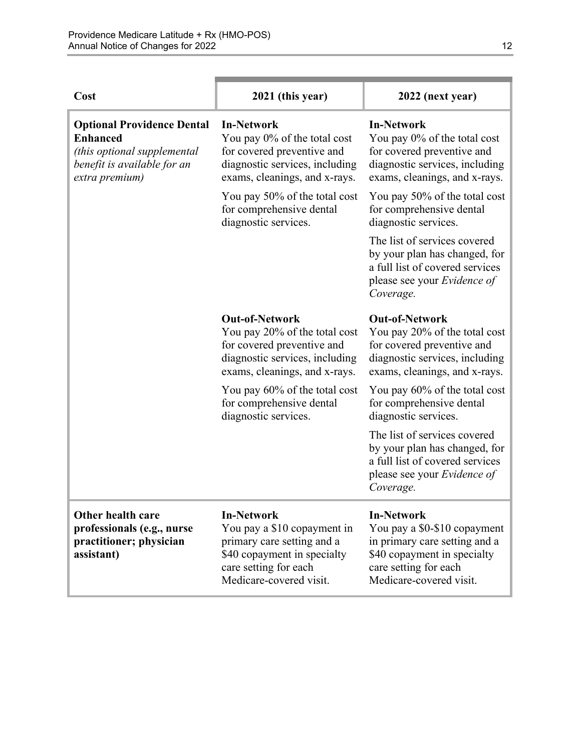| Cost                                                                                                                                 | 2021 (this year)                                                                                                                                                  | 2022 (next year)                                                                                                                                                      |
|--------------------------------------------------------------------------------------------------------------------------------------|-------------------------------------------------------------------------------------------------------------------------------------------------------------------|-----------------------------------------------------------------------------------------------------------------------------------------------------------------------|
| <b>Optional Providence Dental</b><br><b>Enhanced</b><br>(this optional supplemental<br>benefit is available for an<br>extra premium) | <b>In-Network</b><br>You pay 0% of the total cost<br>for covered preventive and<br>diagnostic services, including<br>exams, cleanings, and x-rays.                | <b>In-Network</b><br>You pay 0% of the total cost<br>for covered preventive and<br>diagnostic services, including<br>exams, cleanings, and x-rays.                    |
|                                                                                                                                      | You pay 50% of the total cost<br>for comprehensive dental<br>diagnostic services.                                                                                 | You pay 50% of the total cost<br>for comprehensive dental<br>diagnostic services.                                                                                     |
|                                                                                                                                      |                                                                                                                                                                   | The list of services covered<br>by your plan has changed, for<br>a full list of covered services<br>please see your Evidence of<br>Coverage.                          |
|                                                                                                                                      | <b>Out-of-Network</b><br>You pay 20% of the total cost<br>for covered preventive and<br>diagnostic services, including<br>exams, cleanings, and x-rays.           | <b>Out-of-Network</b><br>You pay 20% of the total cost<br>for covered preventive and<br>diagnostic services, including<br>exams, cleanings, and x-rays.               |
|                                                                                                                                      | You pay 60% of the total cost<br>for comprehensive dental<br>diagnostic services.                                                                                 | You pay 60% of the total cost<br>for comprehensive dental<br>diagnostic services.                                                                                     |
|                                                                                                                                      |                                                                                                                                                                   | The list of services covered<br>by your plan has changed, for<br>a full list of covered services<br>please see your Evidence of<br>Coverage.                          |
| Other health care<br>professionals (e.g., nurse<br>practitioner; physician<br>assistant)                                             | <b>In-Network</b><br>You pay a \$10 copayment in<br>primary care setting and a<br>\$40 copayment in specialty<br>care setting for each<br>Medicare-covered visit. | <b>In-Network</b><br>You pay a \$0-\$10 copayment<br>in primary care setting and a<br>\$40 copayment in specialty<br>care setting for each<br>Medicare-covered visit. |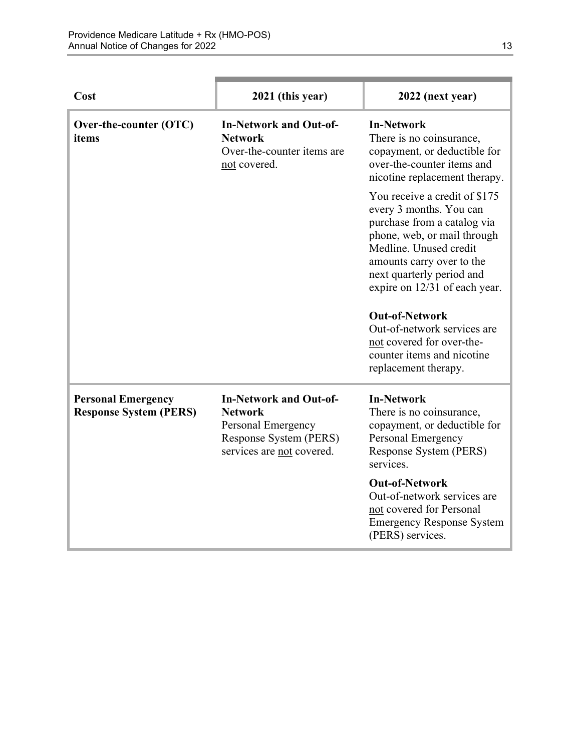| Cost                                                       | 2021 (this year)                                                                                                             | 2022 (next year)                                                                                                                                                                                                                            |
|------------------------------------------------------------|------------------------------------------------------------------------------------------------------------------------------|---------------------------------------------------------------------------------------------------------------------------------------------------------------------------------------------------------------------------------------------|
| Over-the-counter (OTC)<br>items                            | <b>In-Network and Out-of-</b><br><b>Network</b><br>Over-the-counter items are<br>not covered.                                | <b>In-Network</b><br>There is no coinsurance,<br>copayment, or deductible for<br>over-the-counter items and<br>nicotine replacement therapy.                                                                                                |
|                                                            |                                                                                                                              | You receive a credit of \$175<br>every 3 months. You can<br>purchase from a catalog via<br>phone, web, or mail through<br>Medline. Unused credit<br>amounts carry over to the<br>next quarterly period and<br>expire on 12/31 of each year. |
|                                                            |                                                                                                                              | <b>Out-of-Network</b><br>Out-of-network services are<br>not covered for over-the-<br>counter items and nicotine<br>replacement therapy.                                                                                                     |
| <b>Personal Emergency</b><br><b>Response System (PERS)</b> | <b>In-Network and Out-of-</b><br><b>Network</b><br>Personal Emergency<br>Response System (PERS)<br>services are not covered. | <b>In-Network</b><br>There is no coinsurance,<br>copayment, or deductible for<br>Personal Emergency<br>Response System (PERS)<br>services.                                                                                                  |
|                                                            |                                                                                                                              | <b>Out-of-Network</b><br>Out-of-network services are<br>not covered for Personal<br><b>Emergency Response System</b><br>(PERS) services.                                                                                                    |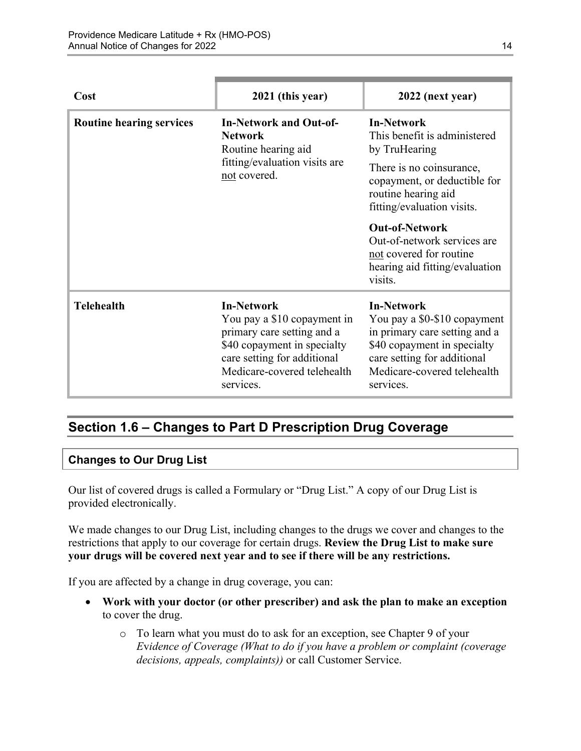| Cost                            | 2021 (this year)                                                                                                                                                                         | 2022 (next year)                                                                                                                                                                             |
|---------------------------------|------------------------------------------------------------------------------------------------------------------------------------------------------------------------------------------|----------------------------------------------------------------------------------------------------------------------------------------------------------------------------------------------|
| <b>Routine hearing services</b> | <b>In-Network and Out-of-</b><br><b>Network</b><br>Routine hearing aid<br>fitting/evaluation visits are<br>not covered.                                                                  | <b>In-Network</b><br>This benefit is administered<br>by TruHearing                                                                                                                           |
|                                 |                                                                                                                                                                                          | There is no coinsurance,<br>copayment, or deductible for<br>routine hearing aid<br>fitting/evaluation visits.                                                                                |
|                                 |                                                                                                                                                                                          | <b>Out-of-Network</b><br>Out-of-network services are<br>not covered for routine<br>hearing aid fitting/evaluation<br>visits.                                                                 |
| <b>Telehealth</b>               | <b>In-Network</b><br>You pay a \$10 copayment in<br>primary care setting and a<br>\$40 copayment in specialty<br>care setting for additional<br>Medicare-covered telehealth<br>services. | <b>In-Network</b><br>You pay a \$0-\$10 copayment<br>in primary care setting and a<br>\$40 copayment in specialty<br>care setting for additional<br>Medicare-covered telehealth<br>services. |

# <span id="page-16-0"></span>**Section 1.6 – Changes to Part D Prescription Drug Coverage**

#### **Changes to Our Drug List**

Our list of covered drugs is called a Formulary or "Drug List." A copy of our Drug List is provided electronically.

We made changes to our Drug List, including changes to the drugs we cover and changes to the restrictions that apply to our coverage for certain drugs. **Review the Drug List to make sure your drugs will be covered next year and to see if there will be any restrictions.** 

If you are affected by a change in drug coverage, you can:

- **Work with your doctor (or other prescriber) and ask the plan to make an exception**  to cover the drug.
	- o To learn what you must do to ask for an exception, see Chapter 9 of your *E*v*idence of Coverage (What to do if you have a problem or complaint (coverage decisions, appeals, complaints))* or call Customer Service.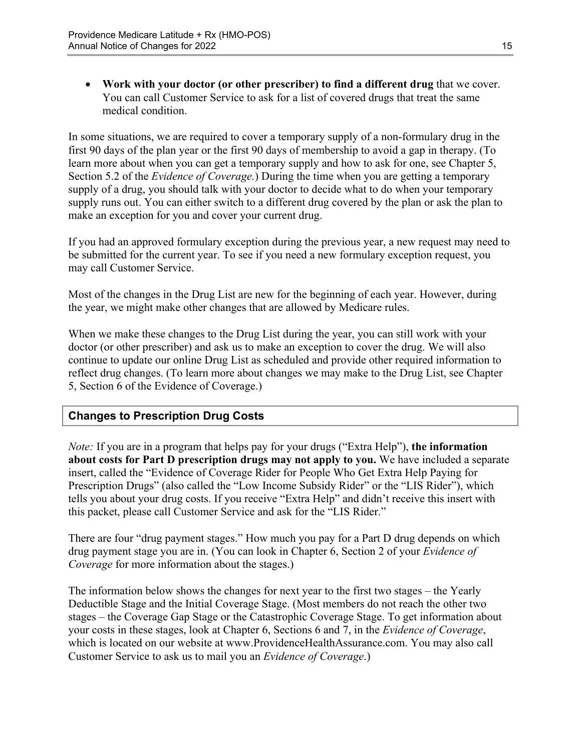**Work with your doctor (or other prescriber) to find a different drug** that we cover. You can call Customer Service to ask for a list of covered drugs that treat the same medical condition.

 Section 5.2 of the *Evidence of Coverage.*) During the time when you are getting a temporary In some situations, we are required to cover a temporary supply of a non-formulary drug in the first 90 days of the plan year or the first 90 days of membership to avoid a gap in therapy. (To learn more about when you can get a temporary supply and how to ask for one, see Chapter 5, supply of a drug, you should talk with your doctor to decide what to do when your temporary supply runs out. You can either switch to a different drug covered by the plan or ask the plan to make an exception for you and cover your current drug.

If you had an approved formulary exception during the previous year, a new request may need to be submitted for the current year. To see if you need a new formulary exception request, you may call Customer Service.

Most of the changes in the Drug List are new for the beginning of each year. However, during the year, we might make other changes that are allowed by Medicare rules.

When we make these changes to the Drug List during the year, you can still work with your doctor (or other prescriber) and ask us to make an exception to cover the drug. We will also continue to update our online Drug List as scheduled and provide other required information to reflect drug changes. (To learn more about changes we may make to the Drug List, see Chapter 5, Section 6 of the Evidence of Coverage.)

### **Changes to Prescription Drug Costs**

*Note:* If you are in a program that helps pay for your drugs ("Extra Help"), **the information about costs for Part D prescription drugs may not apply to you.** We have included a separate insert, called the "Evidence of Coverage Rider for People Who Get Extra Help Paying for Prescription Drugs" (also called the "Low Income Subsidy Rider" or the "LIS Rider"), which tells you about your drug costs. If you receive "Extra Help" and didn't receive this insert with this packet, please call Customer Service and ask for the "LIS Rider."

There are four "drug payment stages." How much you pay for a Part D drug depends on which drug payment stage you are in. (You can look in Chapter 6, Section 2 of your *Evidence of Coverage* for more information about the stages.)

The information below shows the changes for next year to the first two stages – the Yearly Deductible Stage and the Initial Coverage Stage. (Most members do not reach the other two stages – the Coverage Gap Stage or the Catastrophic Coverage Stage. To get information about your costs in these stages, look at Chapter 6, Sections 6 and 7, in the *Evidence of Coverage*, which is located on our website at [www.ProvidenceHealthAssurance.com.](http://www.ProvidenceHealthAssurance.com) You may also call Customer Service to ask us to mail you an *Evidence of Coverage*.)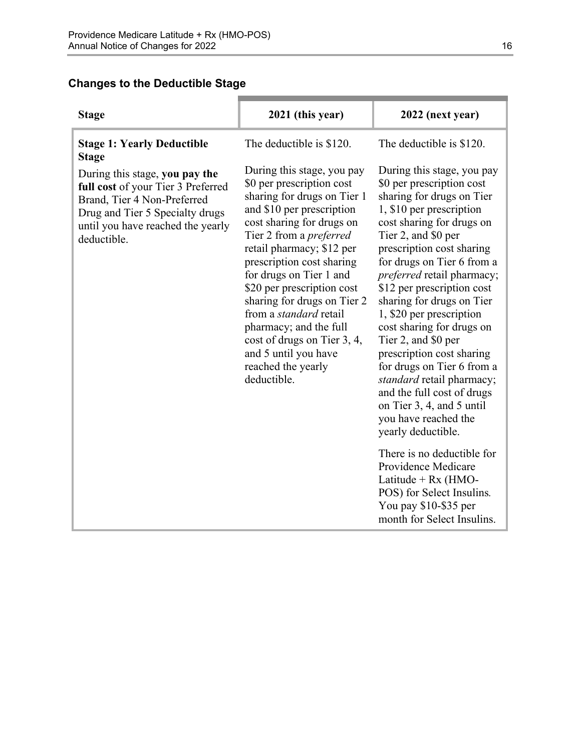### **Changes to the Deductible Stage**

| 2021 (this year)                                                                                                                                                                                                                                                                                                                                                                                                                                                                            | 2022 (next year)                                                                                                                                                                                                                                                                                                                                                                                                                                                                                                                                                                                                 |
|---------------------------------------------------------------------------------------------------------------------------------------------------------------------------------------------------------------------------------------------------------------------------------------------------------------------------------------------------------------------------------------------------------------------------------------------------------------------------------------------|------------------------------------------------------------------------------------------------------------------------------------------------------------------------------------------------------------------------------------------------------------------------------------------------------------------------------------------------------------------------------------------------------------------------------------------------------------------------------------------------------------------------------------------------------------------------------------------------------------------|
| The deductible is \$120.                                                                                                                                                                                                                                                                                                                                                                                                                                                                    | The deductible is \$120.                                                                                                                                                                                                                                                                                                                                                                                                                                                                                                                                                                                         |
| During this stage, you pay<br>\$0 per prescription cost<br>sharing for drugs on Tier 1<br>and \$10 per prescription<br>cost sharing for drugs on<br>Tier 2 from a <i>preferred</i><br>retail pharmacy; \$12 per<br>prescription cost sharing<br>for drugs on Tier 1 and<br>\$20 per prescription cost<br>sharing for drugs on Tier 2<br>from a <i>standard</i> retail<br>pharmacy; and the full<br>cost of drugs on Tier 3, 4,<br>and 5 until you have<br>reached the yearly<br>deductible. | During this stage, you pay<br>\$0 per prescription cost<br>sharing for drugs on Tier<br>1, \$10 per prescription<br>cost sharing for drugs on<br>Tier 2, and \$0 per<br>prescription cost sharing<br>for drugs on Tier 6 from a<br><i>preferred</i> retail pharmacy;<br>\$12 per prescription cost<br>sharing for drugs on Tier<br>1, \$20 per prescription<br>cost sharing for drugs on<br>Tier 2, and \$0 per<br>prescription cost sharing<br>for drugs on Tier 6 from a<br>standard retail pharmacy;<br>and the full cost of drugs<br>on Tier 3, 4, and 5 until<br>you have reached the<br>yearly deductible. |
|                                                                                                                                                                                                                                                                                                                                                                                                                                                                                             | There is no deductible for<br>Providence Medicare<br>Latitude + $Rx$ (HMO-<br>POS) for Select Insulins.<br>You pay \$10-\$35 per<br>month for Select Insulins.                                                                                                                                                                                                                                                                                                                                                                                                                                                   |
|                                                                                                                                                                                                                                                                                                                                                                                                                                                                                             |                                                                                                                                                                                                                                                                                                                                                                                                                                                                                                                                                                                                                  |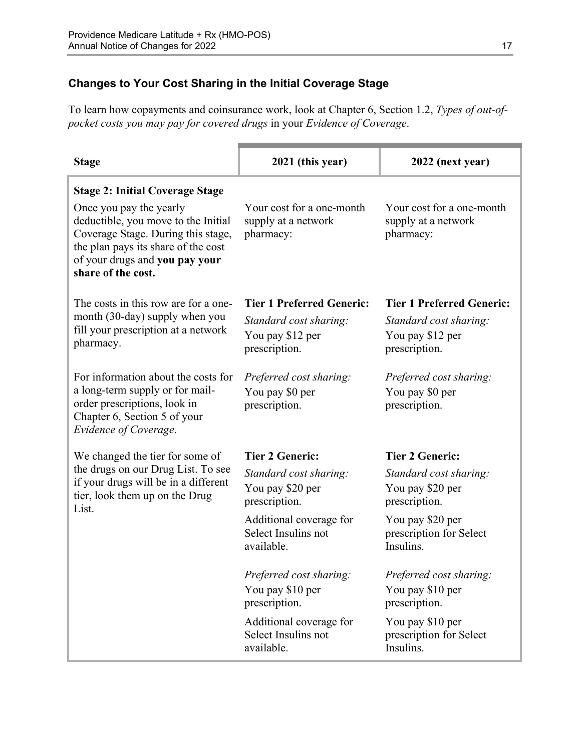### **Changes to Your Cost Sharing in the Initial Coverage Stage**

To learn how copayments and coinsurance work, look at Chapter 6, Section 1.2, *Types of out-ofpocket costs you may pay for covered drugs* in your *Evidence of Coverage*.

| <b>Stage</b>                                                                                                                                                                                        | 2021 (this year)                                              | 2022 (next year)                                              |
|-----------------------------------------------------------------------------------------------------------------------------------------------------------------------------------------------------|---------------------------------------------------------------|---------------------------------------------------------------|
| <b>Stage 2: Initial Coverage Stage</b>                                                                                                                                                              |                                                               |                                                               |
| Once you pay the yearly<br>deductible, you move to the Initial<br>Coverage Stage. During this stage,<br>the plan pays its share of the cost<br>of your drugs and you pay your<br>share of the cost. | Your cost for a one-month<br>supply at a network<br>pharmacy: | Your cost for a one-month<br>supply at a network<br>pharmacy: |
| The costs in this row are for a one-                                                                                                                                                                | <b>Tier 1 Preferred Generic:</b>                              | <b>Tier 1 Preferred Generic:</b>                              |
| month (30-day) supply when you                                                                                                                                                                      | Standard cost sharing:                                        | Standard cost sharing:                                        |
| fill your prescription at a network<br>pharmacy.                                                                                                                                                    | You pay \$12 per                                              | You pay \$12 per                                              |
|                                                                                                                                                                                                     | prescription.                                                 | prescription.                                                 |
| For information about the costs for                                                                                                                                                                 | Preferred cost sharing:                                       | Preferred cost sharing:                                       |
| a long-term supply or for mail-                                                                                                                                                                     | You pay \$0 per                                               | You pay \$0 per                                               |
| order prescriptions, look in<br>Chapter 6, Section 5 of your<br>Evidence of Coverage.                                                                                                               | prescription.                                                 | prescription.                                                 |
| We changed the tier for some of                                                                                                                                                                     | <b>Tier 2 Generic:</b>                                        | <b>Tier 2 Generic:</b>                                        |
| the drugs on our Drug List. To see                                                                                                                                                                  | Standard cost sharing:                                        | Standard cost sharing:                                        |
| if your drugs will be in a different<br>tier, look them up on the Drug                                                                                                                              | You pay \$20 per                                              | You pay \$20 per                                              |
| List.                                                                                                                                                                                               | prescription.                                                 | prescription.                                                 |
|                                                                                                                                                                                                     | Additional coverage for<br>Select Insulins not                | You pay \$20 per<br>prescription for Select                   |
|                                                                                                                                                                                                     | available.                                                    | Insulins.                                                     |
|                                                                                                                                                                                                     | Preferred cost sharing:                                       | Preferred cost sharing:                                       |
|                                                                                                                                                                                                     | You pay \$10 per                                              | You pay \$10 per                                              |
|                                                                                                                                                                                                     | prescription.                                                 | prescription.                                                 |
|                                                                                                                                                                                                     | Additional coverage for                                       | You pay \$10 per                                              |
|                                                                                                                                                                                                     | Select Insulins not<br>available.                             | prescription for Select<br>Insulins.                          |
|                                                                                                                                                                                                     |                                                               |                                                               |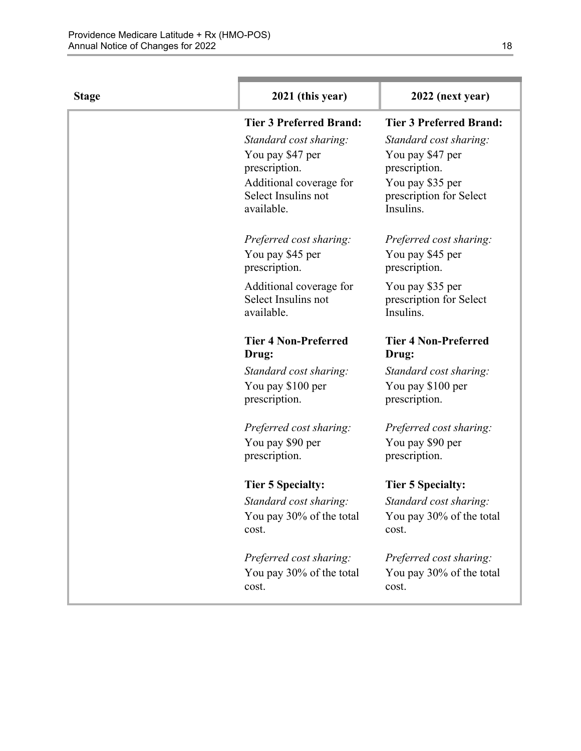| <b>Stage</b> | 2021 (this year)                  | 2022 (next year)                     |
|--------------|-----------------------------------|--------------------------------------|
|              | <b>Tier 3 Preferred Brand:</b>    | <b>Tier 3 Preferred Brand:</b>       |
|              | Standard cost sharing:            | Standard cost sharing:               |
|              | You pay \$47 per                  | You pay \$47 per                     |
|              | prescription.                     | prescription.                        |
|              | Additional coverage for           | You pay \$35 per                     |
|              | Select Insulins not<br>available. | prescription for Select<br>Insulins. |
|              |                                   |                                      |
|              | Preferred cost sharing:           | Preferred cost sharing:              |
|              | You pay \$45 per                  | You pay \$45 per                     |
|              | prescription.                     | prescription.                        |
|              | Additional coverage for           | You pay \$35 per                     |
|              | Select Insulins not               | prescription for Select              |
|              | available.                        | Insulins.                            |
|              | <b>Tier 4 Non-Preferred</b>       | <b>Tier 4 Non-Preferred</b>          |
|              | Drug:                             | Drug:                                |
|              | Standard cost sharing:            | Standard cost sharing:               |
|              | You pay \$100 per                 | You pay \$100 per                    |
|              | prescription.                     | prescription.                        |
|              | Preferred cost sharing:           | Preferred cost sharing:              |
|              | You pay \$90 per                  | You pay \$90 per                     |
|              | prescription.                     | prescription.                        |
|              | <b>Tier 5 Specialty:</b>          | <b>Tier 5 Specialty:</b>             |
|              | Standard cost sharing:            | Standard cost sharing:               |
|              | You pay 30% of the total          | You pay 30% of the total             |
|              | cost.                             | cost.                                |
|              | Preferred cost sharing:           | Preferred cost sharing:              |
|              | You pay 30% of the total          | You pay 30% of the total             |
|              | cost.                             | cost.                                |
|              |                                   |                                      |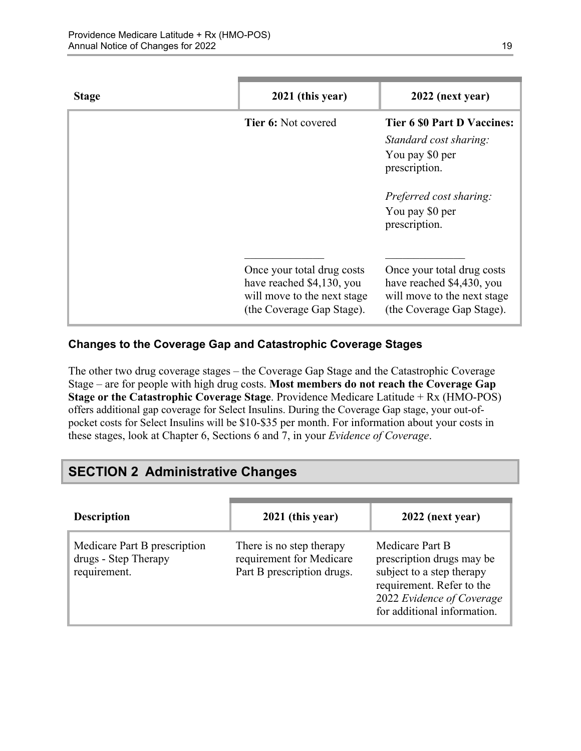| <b>Stage</b> | 2021 (this year)                                                                                                    | 2022 (next year)                                                                                                                                                |
|--------------|---------------------------------------------------------------------------------------------------------------------|-----------------------------------------------------------------------------------------------------------------------------------------------------------------|
|              | <b>Tier 6: Not covered</b>                                                                                          | <b>Tier 6 \$0 Part D Vaccines:</b><br>Standard cost sharing:<br>You pay \$0 per<br>prescription.<br>Preferred cost sharing:<br>You pay \$0 per<br>prescription. |
|              | Once your total drug costs<br>have reached \$4,130, you<br>will move to the next stage<br>(the Coverage Gap Stage). | Once your total drug costs<br>have reached \$4,430, you<br>will move to the next stage<br>(the Coverage Gap Stage).                                             |

### **Changes to the Coverage Gap and Catastrophic Coverage Stages**

The other two drug coverage stages – the Coverage Gap Stage and the Catastrophic Coverage Stage – are for people with high drug costs. **Most members do not reach the Coverage Gap Stage or the Catastrophic Coverage Stage**. Providence Medicare Latitude + Rx (HMO-POS) offers additional gap coverage for Select Insulins. During the Coverage Gap stage, your out-ofpocket costs for Select Insulins will be \$10-\$35 per month. For information about your costs in these stages, look at Chapter 6, Sections 6 and 7, in your *Evidence of Coverage*.

# <span id="page-21-0"></span>**SECTION 2 Administrative Changes**

| <b>Description</b>                                                   | 2021 (this year)                                                                   | 2022 (next year)                                                                                                                                                   |
|----------------------------------------------------------------------|------------------------------------------------------------------------------------|--------------------------------------------------------------------------------------------------------------------------------------------------------------------|
| Medicare Part B prescription<br>drugs - Step Therapy<br>requirement. | There is no step therapy<br>requirement for Medicare<br>Part B prescription drugs. | Medicare Part B<br>prescription drugs may be<br>subject to a step therapy<br>requirement. Refer to the<br>2022 Evidence of Coverage<br>for additional information. |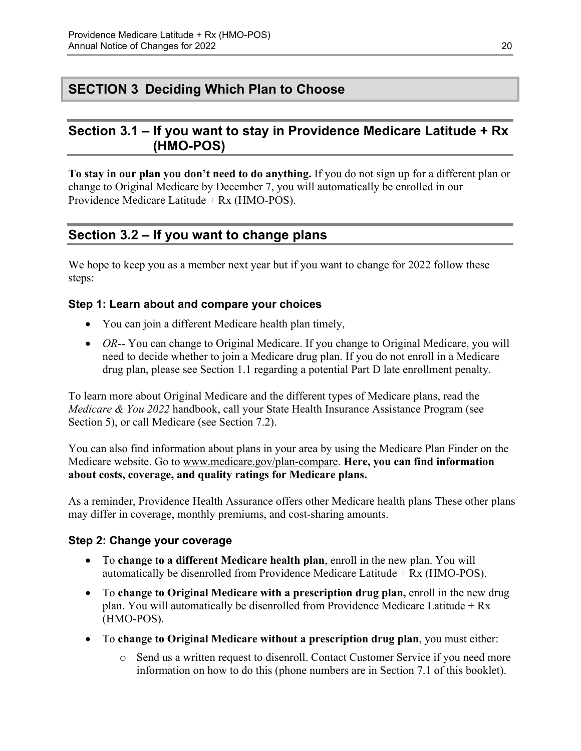# <span id="page-22-0"></span>**SECTION 3 Deciding Which Plan to Choose**

### <span id="page-22-1"></span>**Section 3.1 – If you want to stay in Providence Medicare Latitude + Rx (HMO-POS)**

**To stay in our plan you don't need to do anything.** If you do not sign up for a different plan or change to Original Medicare by December 7, you will automatically be enrolled in our Providence Medicare Latitude + Rx (HMO-POS).

# <span id="page-22-2"></span>**Section 3.2 – If you want to change plans**

We hope to keep you as a member next year but if you want to change for 2022 follow these steps:

#### **Step 1: Learn about and compare your choices**

- You can join a different Medicare health plan timely,
- *OR*-- You can change to Original Medicare. If you change to Original Medicare, you will need to decide whether to join a Medicare drug plan. If you do not enroll in a Medicare drug plan, please see Section 1.1 regarding a potential Part D late enrollment penalty.

To learn more about Original Medicare and the different types of Medicare plans, read the *Medicare & You 2022* handbook, call your State Health Insurance Assistance Program (see Section 5), or call Medicare (see Section 7.2).

You can also find information about plans in your area by using the Medicare Plan Finder on the Medicare website. Go to [www.medicare.gov/plan-compare](http://www.medicare.gov/plan-compare). **Here, you can find information about costs, coverage, and quality ratings for Medicare plans.** 

As a reminder, Providence Health Assurance offers other Medicare health plans These other plans may differ in coverage, monthly premiums, and cost-sharing amounts.

#### **Step 2: Change your coverage**

- To **change to a different Medicare health plan**, enroll in the new plan. You will automatically be disenrolled from Providence Medicare Latitude + Rx (HMO-POS).
- To **change to Original Medicare with a prescription drug plan,** enroll in the new drug plan. You will automatically be disenrolled from Providence Medicare Latitude  $+ Rx$ (HMO-POS).
- To **change to Original Medicare without a prescription drug plan**, you must either:
	- o Send us a written request to disenroll. Contact Customer Service if you need more information on how to do this (phone numbers are in Section 7.1 of this booklet).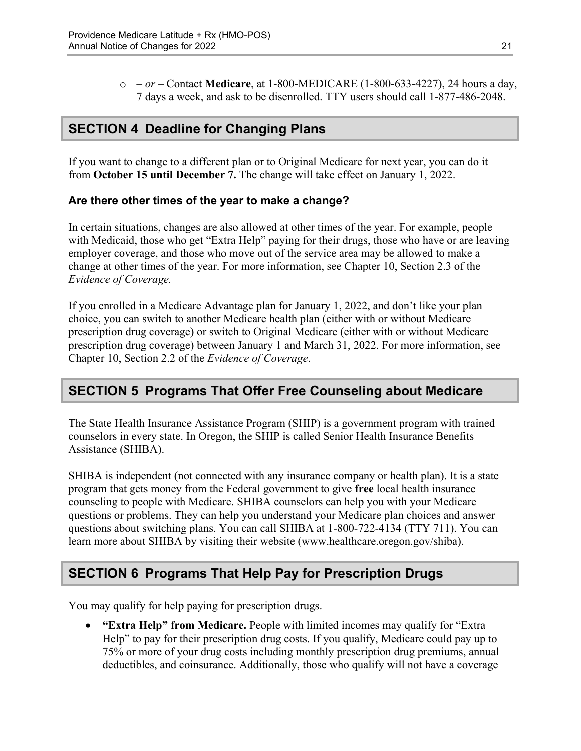o *– or –* Contact **Medicare**, at 1-800-MEDICARE (1-800-633-4227), 24 hours a day, 7 days a week, and ask to be disenrolled. TTY users should call 1-877-486-2048.

# <span id="page-23-0"></span>**SECTION 4 Deadline for Changing Plans**

If you want to change to a different plan or to Original Medicare for next year, you can do it from **October 15 until December 7.** The change will take effect on January 1, 2022.

#### **Are there other times of the year to make a change?**

In certain situations, changes are also allowed at other times of the year. For example, people with Medicaid, those who get "Extra Help" paying for their drugs, those who have or are leaving employer coverage, and those who move out of the service area may be allowed to make a change at other times of the year. For more information, see Chapter 10, Section 2.3 of the *Evidence of Coverage.* 

 Chapter 10, Section 2.2 of the *Evidence of Coverage*. If you enrolled in a Medicare Advantage plan for January 1, 2022, and don't like your plan choice, you can switch to another Medicare health plan (either with or without Medicare prescription drug coverage) or switch to Original Medicare (either with or without Medicare prescription drug coverage) between January 1 and March 31, 2022. For more information, see

### <span id="page-23-1"></span>**SECTION 5 Programs That Offer Free Counseling about Medicare**

The State Health Insurance Assistance Program (SHIP) is a government program with trained counselors in every state. In Oregon, the SHIP is called Senior Health Insurance Benefits Assistance (SHIBA).

 SHIBA is independent (not connected with any insurance company or health plan). It is a state program that gets money from the Federal government to give **free** local health insurance counseling to people with Medicare. SHIBA counselors can help you with your Medicare questions or problems. They can help you understand your Medicare plan choices and answer questions about switching plans. You can call SHIBA at 1-800-722-4134 (TTY 711). You can learn more about SHIBA by visiting their website ([www.healthcare.oregon.gov/shiba](http://healthcare.oregon.gov/shiba)).

# <span id="page-23-2"></span>**SECTION 6 Programs That Help Pay for Prescription Drugs**

You may qualify for help paying for prescription drugs.

 **"Extra Help" from Medicare.** People with limited incomes may qualify for "Extra Help" to pay for their prescription drug costs. If you qualify, Medicare could pay up to 75% or more of your drug costs including monthly prescription drug premiums, annual deductibles, and coinsurance. Additionally, those who qualify will not have a coverage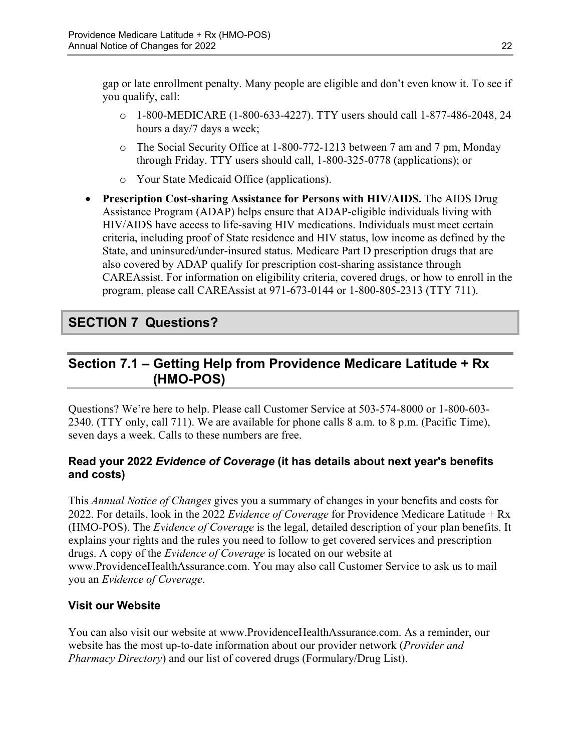gap or late enrollment penalty. Many people are eligible and don't even know it. To see if you qualify, call:

- o 1-800-MEDICARE (1-800-633-4227). TTY users should call 1-877-486-2048, 24 hours a day/7 days a week;
- o The Social Security Office at 1-800-772-1213 between 7 am and 7 pm, Monday through Friday. TTY users should call, 1-800-325-0778 (applications); or
- o Your State Medicaid Office (applications).
- **Prescription Cost-sharing Assistance for Persons with HIV/AIDS.** The AIDS Drug Assistance Program (ADAP) helps ensure that ADAP-eligible individuals living with HIV/AIDS have access to life-saving HIV medications. Individuals must meet certain criteria, including proof of State residence and HIV status, low income as defined by the State, and uninsured/under-insured status. Medicare Part D prescription drugs that are also covered by ADAP qualify for prescription cost-sharing assistance through CAREAssist. For information on eligibility criteria, covered drugs, or how to enroll in the program, please call CAREAssist at 971-673-0144 or 1-800-805-2313 (TTY 711).

# <span id="page-24-0"></span>**SECTION 7 Questions?**

# <span id="page-24-1"></span>**Section 7.1 – Getting Help from Providence Medicare Latitude + Rx (HMO-POS)**

Questions? We're here to help. Please call Customer Service at 503-574-8000 or 1-800-603 2340. (TTY only, call 711). We are available for phone calls 8 a.m. to 8 p.m. (Pacific Time), seven days a week. Calls to these numbers are free.

### **Read your 2022** *Evidence of Coverage* **(it has details about next year's benefits and costs)**

This *Annual Notice of Changes* gives you a summary of changes in your benefits and costs for 2022. For details, look in the 2022 *Evidence of Coverage* for Providence Medicare Latitude + Rx (HMO-POS). The *Evidence of Coverage* is the legal, detailed description of your plan benefits. It explains your rights and the rules you need to follow to get covered services and prescription drugs. A copy of the *Evidence of Coverage* is located on our website at [www.ProvidenceHealthAssurance.com.](http://www.ProvidenceHealthAssurance.com) You may also call Customer Service to ask us to mail you an *Evidence of Coverage*.

### **Visit our Website**

You can also visit our website at [www.ProvidenceHealthAssurance.com](http://www.ProvidenceHealthAssurance.com). As a reminder, our website has the most up-to-date information about our provider network (*Provider and Pharmacy Directory*) and our list of covered drugs (Formulary/Drug List).